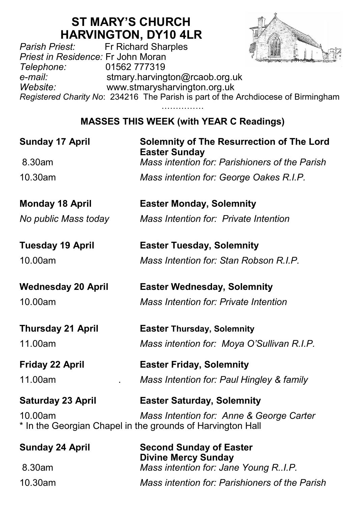# **ST MARY'S CHURCH HARVINGTON, DY10 4LR**<br>Fr Richard Sharples



*Parish Priest:* Fr Richard Sharples *Priest in Residence:* Fr John Moran *Telephone:* 01562 777319 *e-mail:* stmary.harvington@rcaob.org.uk *Website:* www.stmarysharvington.org.uk *Registered Charity No*: 234216 The Parish is part of the Archdiocese of Birmingham ……………

## **MASSES THIS WEEK (with YEAR C Readings)**

| <b>Sunday 17 April</b>    | <b>Solemnity of The Resurrection of The Lord</b><br><b>Easter Sunday</b>                               |  |
|---------------------------|--------------------------------------------------------------------------------------------------------|--|
| 8.30am                    | Mass intention for: Parishioners of the Parish                                                         |  |
| 10.30am                   | Mass intention for: George Oakes R.I.P.                                                                |  |
| <b>Monday 18 April</b>    | <b>Easter Monday, Solemnity</b>                                                                        |  |
| No public Mass today      | Mass Intention for: Private Intention                                                                  |  |
| <b>Tuesday 19 April</b>   | <b>Easter Tuesday, Solemnity</b>                                                                       |  |
| 10.00am                   | Mass Intention for: Stan Robson R.I.P.                                                                 |  |
| <b>Wednesday 20 April</b> | <b>Easter Wednesday, Solemnity</b>                                                                     |  |
| 10.00am                   | Mass Intention for: Private Intention                                                                  |  |
| <b>Thursday 21 April</b>  | <b>Easter Thursday, Solemnity</b>                                                                      |  |
| 11.00am                   | Mass intention for: Moya O'Sullivan R.I.P.                                                             |  |
| <b>Friday 22 April</b>    | <b>Easter Friday, Solemnity</b>                                                                        |  |
| 11.00am                   | Mass Intention for: Paul Hingley & family                                                              |  |
| <b>Saturday 23 April</b>  | <b>Easter Saturday, Solemnity</b>                                                                      |  |
| 10.00am                   | Mass Intention for: Anne & George Carter<br>* In the Georgian Chapel in the grounds of Harvington Hall |  |
| <b>Sunday 24 April</b>    | <b>Second Sunday of Easter</b><br><b>Divine Mercy Sunday</b>                                           |  |
| 8.30am                    | Mass intention for: Jane Young R.I.P.                                                                  |  |
| 10.30am                   | Mass intention for: Parishioners of the Parish                                                         |  |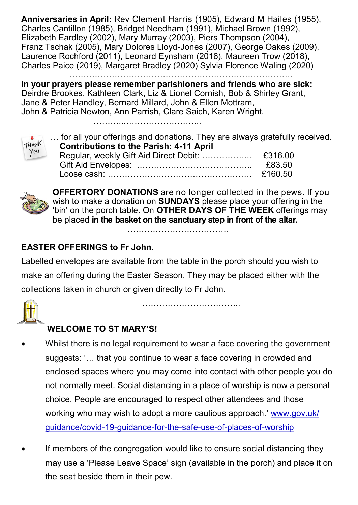**Anniversaries in April:** Rev Clement Harris (1905), Edward M Hailes (1955), Charles Cantillon (1985), Bridget Needham (1991), Michael Brown (1992), Elizabeth Eardley (2002), Mary Murray (2003), Piers Thompson (2004), Franz Tschak (2005), Mary Dolores Lloyd-Jones (2007), George Oakes (2009), Laurence Rochford (2011), Leonard Eynsham (2016), Maureen Trow (2018), Charles Paice (2019), Margaret Bradley (2020) Sylvia Florence Waling (2020)

…………………………………………………………………….

**In your prayers please remember parishioners and friends who are sick:**  Deirdre Brookes, Kathleen Clark, Liz & Lionel Cornish, Bob & Shirley Grant, Jane & Peter Handley, Bernard Millard, John & Ellen Mottram, John & Patricia Newton, Ann Parrish, Clare Saich, Karen Wright.

…………………………………………



|                                                                | for all your offerings and donations. They are always gratefully received. |         |
|----------------------------------------------------------------|----------------------------------------------------------------------------|---------|
| THANK<br>YOU<br><b>Contributions to the Parish: 4-11 April</b> |                                                                            |         |
|                                                                |                                                                            |         |
|                                                                |                                                                            | £83.50  |
|                                                                |                                                                            | £160.50 |



**OFFERTORY DONATIONS** are no longer collected in the pews. If you wish to make a donation on **SUNDAYS** please place your offering in the 'bin' on the porch table. On **OTHER DAYS OF THE WEEK** offerings may be placed **in the basket on the sanctuary step in front of the altar.** 

………………………………

#### **EASTER OFFERINGS to Fr John**.

Labelled envelopes are available from the table in the porch should you wish to make an offering during the Easter Season. They may be placed either with the collections taken in church or given directly to Fr John.



……………………………..

### **WELCOME TO ST MARY'S!**

- Whilst there is no legal requirement to wear a face covering the government suggests: '… that you continue to wear a face covering in crowded and enclosed spaces where you may come into contact with other people you do not normally meet. Social distancing in a place of worship is now a personal choice. People are encouraged to respect other attendees and those working who may wish to adopt a more cautious approach.' www.gov.uk/ guidance/covid-19-guidance-for-the-safe-use-of-places-of-worship
- If members of the congregation would like to ensure social distancing they may use a 'Please Leave Space' sign (available in the porch) and place it on the seat beside them in their pew.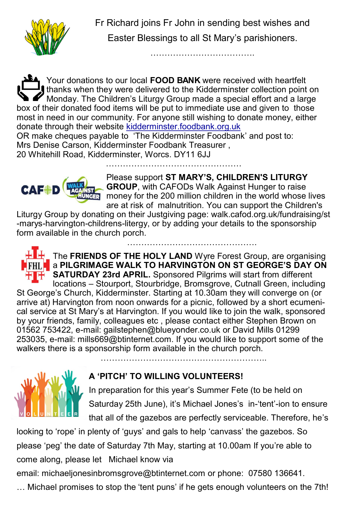

 Fr Richard joins Fr John in sending best wishes and Easter Blessings to all St Mary's parishioners.

……………………………….

Your donations to our local **FOOD BANK** were received with heartfelt thanks when they were delivered to the Kidderminster collection point on Monday. The Children's Liturgy Group made a special effort and a large box of their donated food items will be put to immediate use and given to those most in need in our community. For anyone still wishing to donate money, either donate through their website kidderminster.foodbank.org.uk OR make cheques payable to 'The Kidderminster Foodbank' and post to: Mrs Denise Carson, Kidderminster Foodbank Treasurer ,

20 Whitehill Road, Kidderminster, Worcs. DY11 6JJ



Please support **ST MARY'S, CHILDREN'S LITURGY GROUP**, with CAFODs Walk Against Hunger to raise money for the 200 million children in the world whose lives are at risk of malnutrition. You can support the Children's

………………………………………

Liturgy Group by donating on their Justgiving page: walk.cafod.org.uk/fundraising/st -marys-harvington-childrens-litergy, or by adding your details to the sponsorship form available in the church porch.

…………………………………………



The **FRIENDS OF THE HOLY LAND** Wyre Forest Group, are organising a **PILGRIMAGE WALK TO HARVINGTON ON ST GEORGE'S DAY ON TH** SATURDAY 23rd APRIL. Sponsored Pilgrims will start from different locations – Stourport, Stourbridge, Bromsgrove, Cutnall Green, including St George's Church, Kidderminster. Starting at 10.30am they will converge on (or arrive at) Harvington from noon onwards for a picnic, followed by a short ecumenical service at St Mary's at Harvington. If you would like to join the walk, sponsored by your friends, family, colleagues etc , please contact either Stephen Brown on 01562 753422, e-mail: gailstephen@blueyonder.co.uk or David Mills 01299 253035, e-mail: mills669@btinternet.com. If you would like to support some of the walkers there is a sponsorship form available in the church porch. …………………………………………………..



## **A 'PITCH' TO WILLING VOLUNTEERS!**

In preparation for this year's Summer Fete (to be held on Saturday 25th June), it's Michael Jones's in-'tent'-ion to ensure that all of the gazebos are perfectly serviceable. Therefore, he's

looking to 'rope' in plenty of 'guys' and gals to help 'canvass' the gazebos. So please 'peg' the date of Saturday 7th May, starting at 10.00am If you're able to come along, please let Michael know via

email: michaeljonesinbromsgrove@btinternet.com or phone: 07580 136641.

… Michael promises to stop the 'tent puns' if he gets enough volunteers on the 7th!